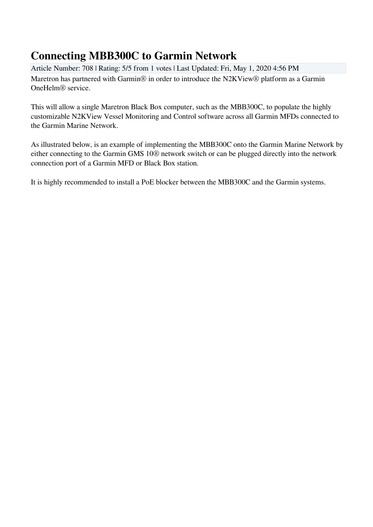## **Connecting MBB300C to Garmin Network**

Article Number: 708 | Rating: 5/5 from 1 votes | Last Updated: Fri, May 1, 2020 4:56 PM Maretron has partnered with Garmin® in order to introduce the N2KView® platform as a Garmin OneHelm® service.

This will allow a single Maretron Black Box computer, such as the MBB300C, to populate the highly customizable N2KView Vessel Monitoring and Control software across all Garmin MFDs connected to the Garmin Marine Network.

As illustrated below, is an example of implementing the MBB300C onto the Garmin Marine Network by either connecting to the Garmin GMS 10® network switch or can be plugged directly into the network connection port of a Garmin MFD or Black Box station.

It is highly recommended to install a PoE blocker between the MBB300C and the Garmin systems.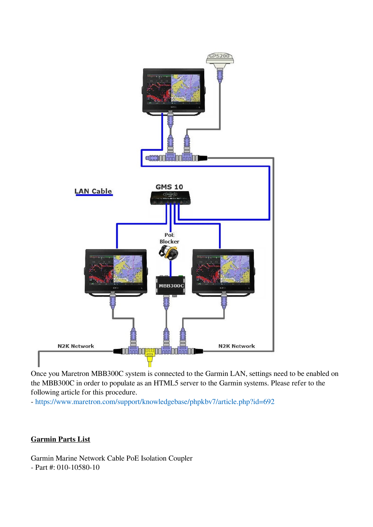

Once you Maretron MBB300C system is connected to the Garmin LAN, settings need to be enabled on the MBB300C in order to populate as an HTML5 server to the Garmin systems. Please refer to the following article for this procedure.

-<https://www.maretron.com/support/knowledgebase/phpkbv7/article.php?id=692>

## **Garmin Parts List**

Garmin Marine Network Cable PoE Isolation Coupler - Part #: 010-10580-10